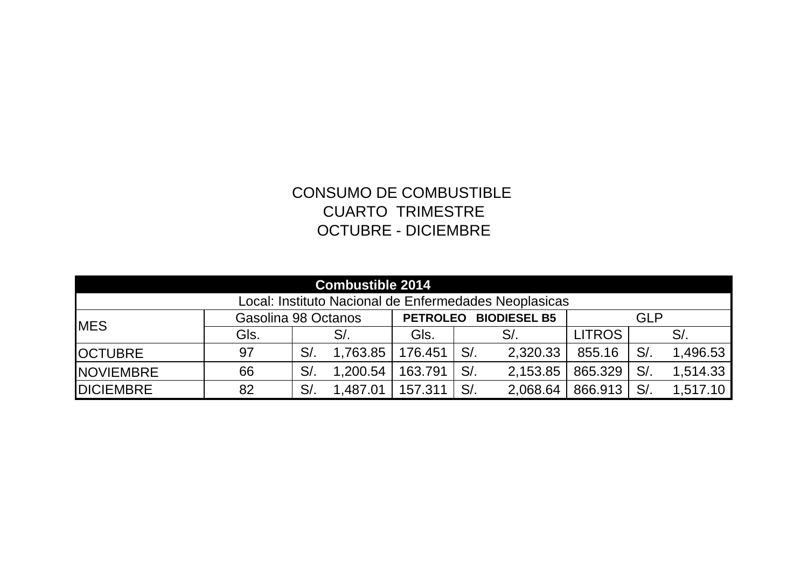## CONSUMO DE COMBUSTIBLE CUARTO TRIMESTRE OCTUBRE - DICIEMBRE

| <b>Combustible 2014</b>                               |                     |        |          |                                        |        |          |               |    |          |
|-------------------------------------------------------|---------------------|--------|----------|----------------------------------------|--------|----------|---------------|----|----------|
| Local: Instituto Nacional de Enfermedades Neoplasicas |                     |        |          |                                        |        |          |               |    |          |
| <b>MES</b>                                            | Gasolina 98 Octanos |        |          | <b>BIODIESEL B5</b><br><b>PETROLEO</b> |        |          | <b>GLP</b>    |    |          |
|                                                       | Gls.                |        | $S/$ .   | GIs.                                   |        | $S/$ .   | <b>LITROS</b> |    | S/       |
| <b>OCTUBRE</b>                                        | 97                  | S/     | 1,763.85 | 176.451                                | $S/$ . | 2,320.33 | 855.16        | S/ | 1,496.53 |
| <b>NOVIEMBRE</b>                                      | 66                  | $S/$ . | 1,200.54 | 163.791                                | $S/$ . | 2,153.85 | 865.329       | S/ | 1,514.33 |
| <b>DICIEMBRE</b>                                      | 82                  | $S/$ . | 1,487.01 | 157.311                                | S/     | 2,068.64 | 866.913       | S/ | 1,517.10 |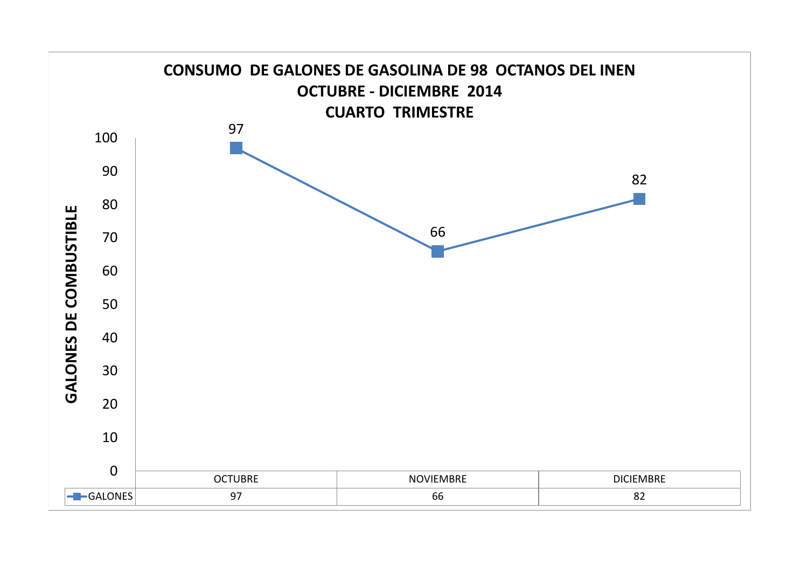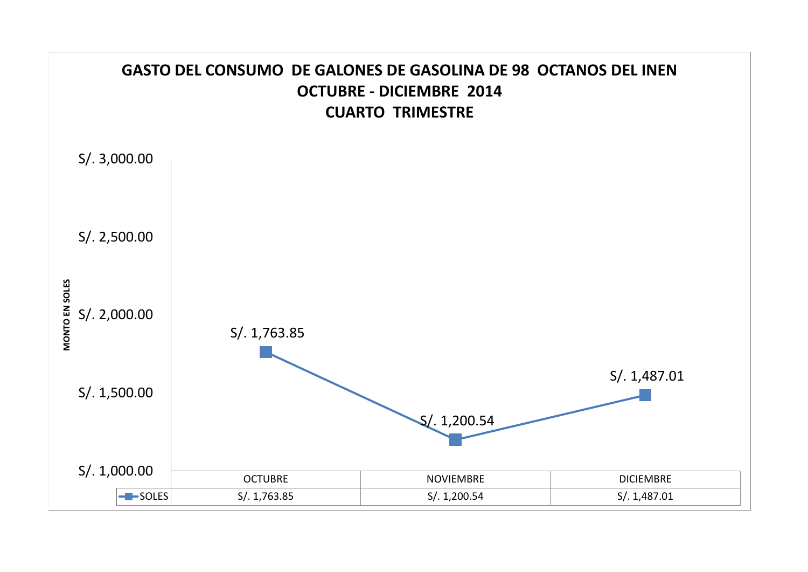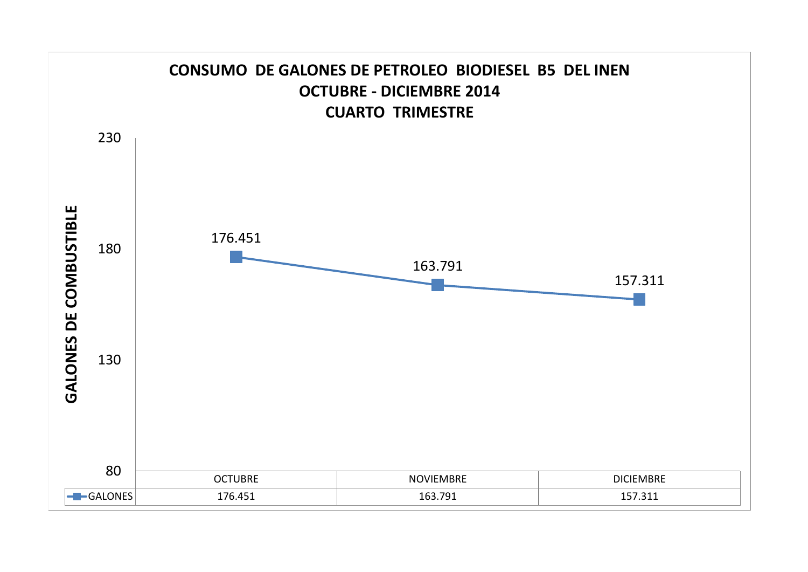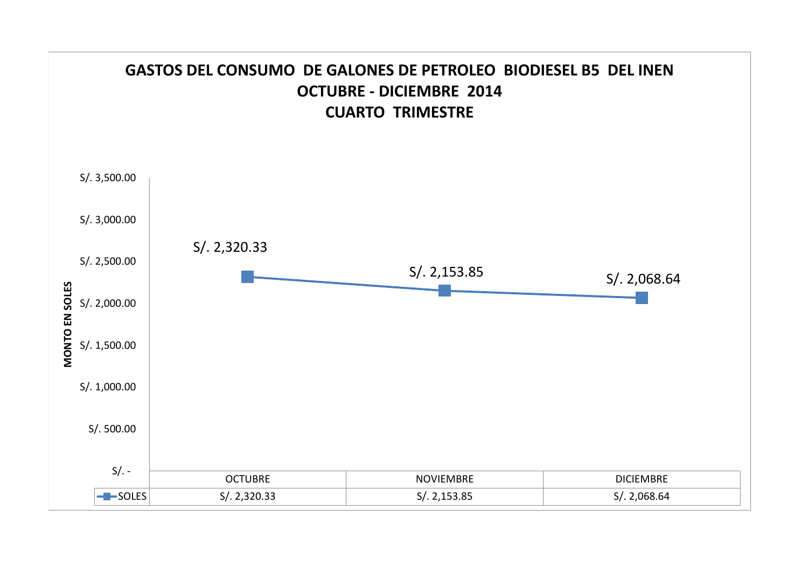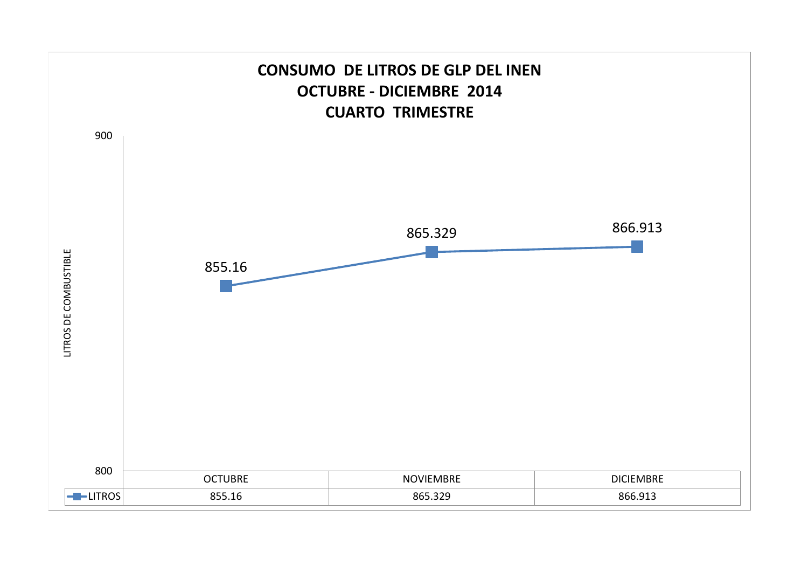